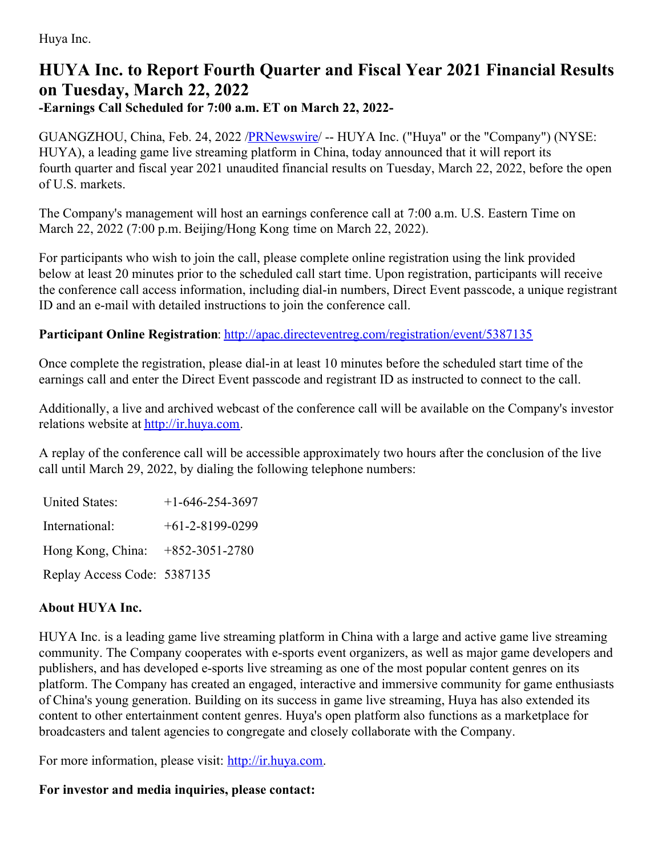Huya Inc.

## **HUYA Inc. to Report Fourth Quarter and Fiscal Year 2021 Financial Results on Tuesday, March 22, 2022**

**-Earnings Call Scheduled for 7:00 a.m. ET on March 22, 2022-**

GUANGZHOU, China, Feb. 24, 2022 /**PRNewswire/ -- HUYA Inc.** ("Huya" or the "Company") (NYSE: HUYA), a leading game live streaming platform in China, today announced that it will report its fourth quarter and fiscal year 2021 unaudited financial results on Tuesday, March 22, 2022, before the open of U.S. markets.

The Company's management will host an earnings conference call at 7:00 a.m. U.S. Eastern Time on March 22, 2022 (7:00 p.m. Beijing/Hong Kong time on March 22, 2022).

For participants who wish to join the call, please complete online registration using the link provided below at least 20 minutes prior to the scheduled call start time. Upon registration, participants will receive the conference call access information, including dial-in numbers, Direct Event passcode, a unique registrant ID and an e-mail with detailed instructions to join the conference call.

## **Participant Online Registration**: <http://apac.directeventreg.com/registration/event/5387135>

Once complete the registration, please dial-in at least 10 minutes before the scheduled start time of the earnings call and enter the Direct Event passcode and registrant ID as instructed to connect to the call.

Additionally, a live and archived webcast of the conference call will be available on the Company's investor relations website at [http://ir.huya.com](http://ir.huya.com/).

A replay of the conference call will be accessible approximately two hours after the conclusion of the live call until March 29, 2022, by dialing the following telephone numbers:

| <b>United States:</b>              | $+1 - 646 - 254 - 3697$ |
|------------------------------------|-------------------------|
| International:                     | $+61-2-8199-0299$       |
| Hong Kong, China: $+852-3051-2780$ |                         |
| Replay Access Code: 5387135        |                         |

## **About HUYA Inc.**

HUYA Inc. is a leading game live streaming platform in China with a large and active game live streaming community. The Company cooperates with e-sports event organizers, as well as major game developers and publishers, and has developed e-sports live streaming as one of the most popular content genres on its platform. The Company has created an engaged, interactive and immersive community for game enthusiasts of China's young generation. Building on its success in game live streaming, Huya has also extended its content to other entertainment content genres. Huya's open platform also functions as a marketplace for broadcasters and talent agencies to congregate and closely collaborate with the Company.

For more information, please visit: [http://ir.huya.com](http://ir.huya.com/).

## **For investor and media inquiries, please contact:**